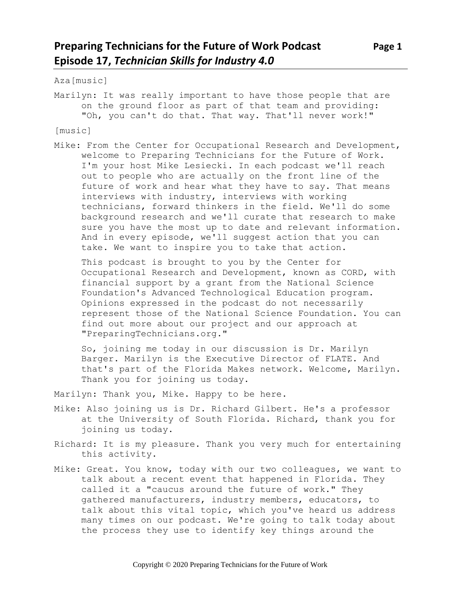Aza[music]

Marilyn: It was really important to have those people that are on the ground floor as part of that team and providing: "Oh, you can't do that. That way. That'll never work!"

[music]

Mike: From the Center for Occupational Research and Development, welcome to Preparing Technicians for the Future of Work. I'm your host Mike Lesiecki. In each podcast we'll reach out to people who are actually on the front line of the future of work and hear what they have to say. That means interviews with industry, interviews with working technicians, forward thinkers in the field. We'll do some background research and we'll curate that research to make sure you have the most up to date and relevant information. And in every episode, we'll suggest action that you can take. We want to inspire you to take that action.

This podcast is brought to you by the Center for Occupational Research and Development, known as CORD, with financial support by a grant from the National Science Foundation's Advanced Technological Education program. Opinions expressed in the podcast do not necessarily represent those of the National Science Foundation. You can find out more about our project and our approach at "PreparingTechnicians.org."

So, joining me today in our discussion is Dr. Marilyn Barger. Marilyn is the Executive Director of FLATE. And that's part of the Florida Makes network. Welcome, Marilyn. Thank you for joining us today.

Marilyn: Thank you, Mike. Happy to be here.

- Mike: Also joining us is Dr. Richard Gilbert. He's a professor at the University of South Florida. Richard, thank you for joining us today.
- Richard: It is my pleasure. Thank you very much for entertaining this activity.
- Mike: Great. You know, today with our two colleagues, we want to talk about a recent event that happened in Florida. They called it a "caucus around the future of work." They gathered manufacturers, industry members, educators, to talk about this vital topic, which you've heard us address many times on our podcast. We're going to talk today about the process they use to identify key things around the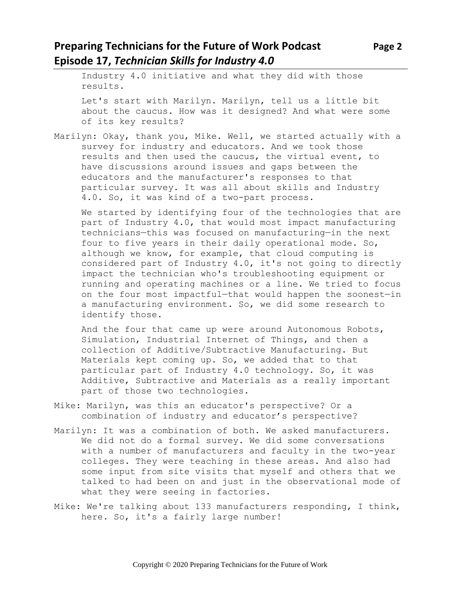### **Preparing Technicians for the Future of Work Podcast Page 2 Episode 17,** *Technician Skills for Industry 4.0*

Industry 4.0 initiative and what they did with those results.

Let's start with Marilyn. Marilyn, tell us a little bit about the caucus. How was it designed? And what were some of its key results?

Marilyn: Okay, thank you, Mike. Well, we started actually with a survey for industry and educators. And we took those results and then used the caucus, the virtual event, to have discussions around issues and gaps between the educators and the manufacturer's responses to that particular survey. It was all about skills and Industry 4.0. So, it was kind of a two-part process.

We started by identifying four of the technologies that are part of Industry 4.0, that would most impact manufacturing technicians—this was focused on manufacturing—in the next four to five years in their daily operational mode. So, although we know, for example, that cloud computing is considered part of Industry 4.0, it's not going to directly impact the technician who's troubleshooting equipment or running and operating machines or a line. We tried to focus on the four most impactful—that would happen the soonest—in a manufacturing environment. So, we did some research to identify those.

And the four that came up were around Autonomous Robots, Simulation, Industrial Internet of Things, and then a collection of Additive/Subtractive Manufacturing. But Materials kept coming up. So, we added that to that particular part of Industry 4.0 technology. So, it was Additive, Subtractive and Materials as a really important part of those two technologies.

- Mike: Marilyn, was this an educator's perspective? Or a combination of industry and educator's perspective?
- Marilyn: It was a combination of both. We asked manufacturers. We did not do a formal survey. We did some conversations with a number of manufacturers and faculty in the two-year colleges. They were teaching in these areas. And also had some input from site visits that myself and others that we talked to had been on and just in the observational mode of what they were seeing in factories.
- Mike: We're talking about 133 manufacturers responding, I think, here. So, it's a fairly large number!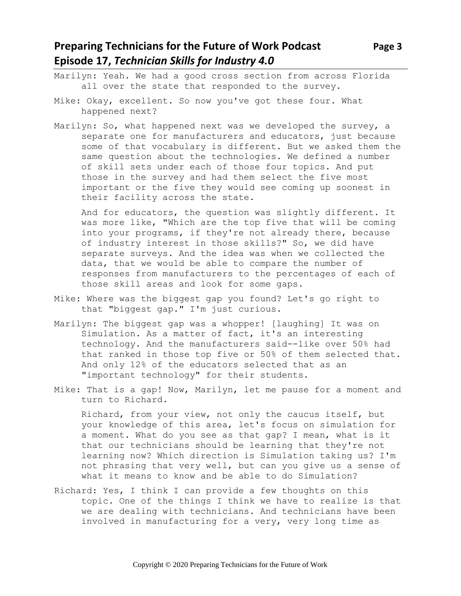## **Preparing Technicians for the Future of Work Podcast Page 3 Episode 17,** *Technician Skills for Industry 4.0*

- Marilyn: Yeah. We had a good cross section from across Florida all over the state that responded to the survey.
- Mike: Okay, excellent. So now you've got these four. What happened next?
- Marilyn: So, what happened next was we developed the survey, a separate one for manufacturers and educators, just because some of that vocabulary is different. But we asked them the same question about the technologies. We defined a number of skill sets under each of those four topics. And put those in the survey and had them select the five most important or the five they would see coming up soonest in their facility across the state.

And for educators, the question was slightly different. It was more like, "Which are the top five that will be coming into your programs, if they're not already there, because of industry interest in those skills?" So, we did have separate surveys. And the idea was when we collected the data, that we would be able to compare the number of responses from manufacturers to the percentages of each of those skill areas and look for some gaps.

- Mike: Where was the biggest gap you found? Let's go right to that "biggest gap." I'm just curious.
- Marilyn: The biggest gap was a whopper! [laughing] It was on Simulation. As a matter of fact, it's an interesting technology. And the manufacturers said--like over 50% had that ranked in those top five or 50% of them selected that. And only 12% of the educators selected that as an "important technology" for their students.
- Mike: That is a gap! Now, Marilyn, let me pause for a moment and turn to Richard.

Richard, from your view, not only the caucus itself, but your knowledge of this area, let's focus on simulation for a moment. What do you see as that gap? I mean, what is it that our technicians should be learning that they're not learning now? Which direction is Simulation taking us? I'm not phrasing that very well, but can you give us a sense of what it means to know and be able to do Simulation?

Richard: Yes, I think I can provide a few thoughts on this topic. One of the things I think we have to realize is that we are dealing with technicians. And technicians have been involved in manufacturing for a very, very long time as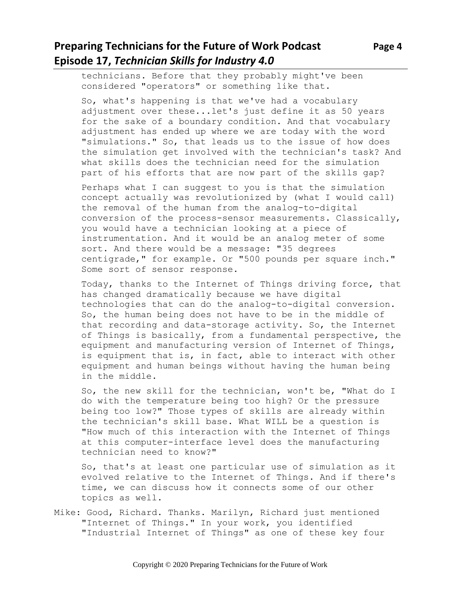# **Preparing Technicians for the Future of Work Podcast Page 4 Episode 17,** *Technician Skills for Industry 4.0*

technicians. Before that they probably might've been considered "operators" or something like that.

So, what's happening is that we've had a vocabulary adjustment over these...let's just define it as 50 years for the sake of a boundary condition. And that vocabulary adjustment has ended up where we are today with the word "simulations." So, that leads us to the issue of how does the simulation get involved with the technician's task? And what skills does the technician need for the simulation part of his efforts that are now part of the skills gap?

Perhaps what I can suggest to you is that the simulation concept actually was revolutionized by (what I would call) the removal of the human from the analog-to-digital conversion of the process-sensor measurements. Classically, you would have a technician looking at a piece of instrumentation. And it would be an analog meter of some sort. And there would be a message: "35 degrees centigrade," for example. Or "500 pounds per square inch." Some sort of sensor response.

Today, thanks to the Internet of Things driving force, that has changed dramatically because we have digital technologies that can do the analog-to-digital conversion. So, the human being does not have to be in the middle of that recording and data-storage activity. So, the Internet of Things is basically, from a fundamental perspective, the equipment and manufacturing version of Internet of Things, is equipment that is, in fact, able to interact with other equipment and human beings without having the human being in the middle.

So, the new skill for the technician, won't be, "What do I do with the temperature being too high? Or the pressure being too low?" Those types of skills are already within the technician's skill base. What WILL be a question is "How much of this interaction with the Internet of Things at this computer-interface level does the manufacturing technician need to know?"

So, that's at least one particular use of simulation as it evolved relative to the Internet of Things. And if there's time, we can discuss how it connects some of our other topics as well.

Mike: Good, Richard. Thanks. Marilyn, Richard just mentioned "Internet of Things." In your work, you identified "Industrial Internet of Things" as one of these key four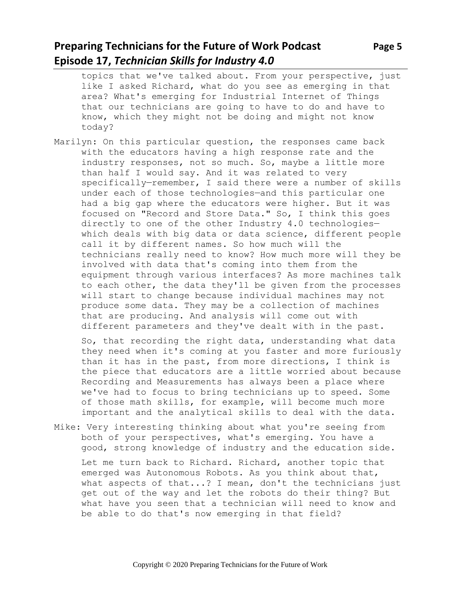## **Preparing Technicians for the Future of Work Podcast Page 5 Episode 17,** *Technician Skills for Industry 4.0*

topics that we've talked about. From your perspective, just like I asked Richard, what do you see as emerging in that area? What's emerging for Industrial Internet of Things that our technicians are going to have to do and have to know, which they might not be doing and might not know today?

Marilyn: On this particular question, the responses came back with the educators having a high response rate and the industry responses, not so much. So, maybe a little more than half I would say. And it was related to very specifically—remember, I said there were a number of skills under each of those technologies—and this particular one had a big gap where the educators were higher. But it was focused on "Record and Store Data." So, I think this goes directly to one of the other Industry 4.0 technologies which deals with big data or data science, different people call it by different names. So how much will the technicians really need to know? How much more will they be involved with data that's coming into them from the equipment through various interfaces? As more machines talk to each other, the data they'll be given from the processes will start to change because individual machines may not produce some data. They may be a collection of machines that are producing. And analysis will come out with different parameters and they've dealt with in the past.

So, that recording the right data, understanding what data they need when it's coming at you faster and more furiously than it has in the past, from more directions, I think is the piece that educators are a little worried about because Recording and Measurements has always been a place where we've had to focus to bring technicians up to speed. Some of those math skills, for example, will become much more important and the analytical skills to deal with the data.

Mike: Very interesting thinking about what you're seeing from both of your perspectives, what's emerging. You have a good, strong knowledge of industry and the education side.

Let me turn back to Richard. Richard, another topic that emerged was Autonomous Robots. As you think about that, what aspects of that...? I mean, don't the technicians just get out of the way and let the robots do their thing? But what have you seen that a technician will need to know and be able to do that's now emerging in that field?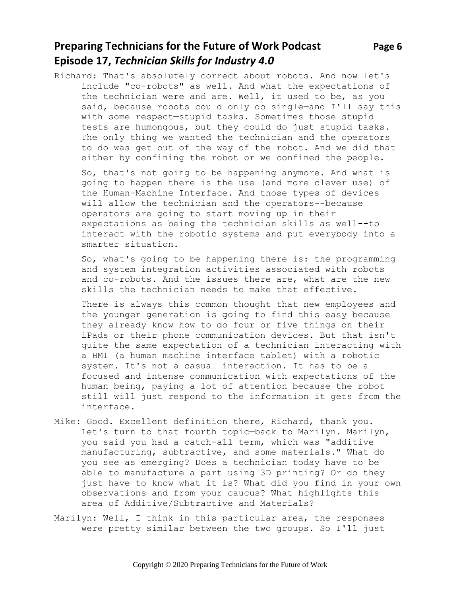# **Preparing Technicians for the Future of Work Podcast Page 6 Episode 17,** *Technician Skills for Industry 4.0*

Richard: That's absolutely correct about robots. And now let's include "co-robots" as well. And what the expectations of the technician were and are. Well, it used to be, as you said, because robots could only do single-and I'll say this with some respect—stupid tasks. Sometimes those stupid tests are humongous, but they could do just stupid tasks. The only thing we wanted the technician and the operators to do was get out of the way of the robot. And we did that either by confining the robot or we confined the people.

So, that's not going to be happening anymore. And what is going to happen there is the use (and more clever use) of the Human-Machine Interface. And those types of devices will allow the technician and the operators--because operators are going to start moving up in their expectations as being the technician skills as well--to interact with the robotic systems and put everybody into a smarter situation.

So, what's going to be happening there is: the programming and system integration activities associated with robots and co-robots. And the issues there are, what are the new skills the technician needs to make that effective.

There is always this common thought that new employees and the younger generation is going to find this easy because they already know how to do four or five things on their iPads or their phone communication devices. But that isn't quite the same expectation of a technician interacting with a HMI (a human machine interface tablet) with a robotic system. It's not a casual interaction. It has to be a focused and intense communication with expectations of the human being, paying a lot of attention because the robot still will just respond to the information it gets from the interface.

- Mike: Good. Excellent definition there, Richard, thank you. Let's turn to that fourth topic—back to Marilyn. Marilyn, you said you had a catch-all term, which was "additive manufacturing, subtractive, and some materials." What do you see as emerging? Does a technician today have to be able to manufacture a part using 3D printing? Or do they just have to know what it is? What did you find in your own observations and from your caucus? What highlights this area of Additive/Subtractive and Materials?
- Marilyn: Well, I think in this particular area, the responses were pretty similar between the two groups. So I'll just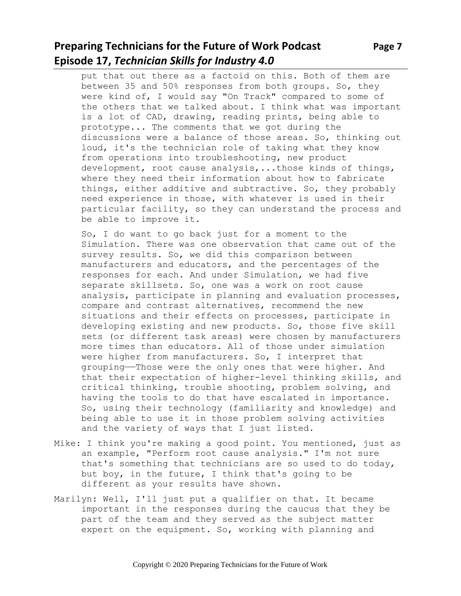# **Preparing Technicians for the Future of Work Podcast Page 7 Episode 17,** *Technician Skills for Industry 4.0*

put that out there as a factoid on this. Both of them are between 35 and 50% responses from both groups. So, they were kind of, I would say "On Track" compared to some of the others that we talked about. I think what was important is a lot of CAD, drawing, reading prints, being able to prototype... The comments that we got during the discussions were a balance of those areas. So, thinking out loud, it's the technician role of taking what they know from operations into troubleshooting, new product development, root cause analysis,...those kinds of things, where they need their information about how to fabricate things, either additive and subtractive. So, they probably need experience in those, with whatever is used in their particular facility, so they can understand the process and be able to improve it.

So, I do want to go back just for a moment to the Simulation. There was one observation that came out of the survey results. So, we did this comparison between manufacturers and educators, and the percentages of the responses for each. And under Simulation, we had five separate skillsets. So, one was a work on root cause analysis, participate in planning and evaluation processes, compare and contrast alternatives, recommend the new situations and their effects on processes, participate in developing existing and new products. So, those five skill sets (or different task areas) were chosen by manufacturers more times than educators. All of those under simulation were higher from manufacturers. So, I interpret that grouping——Those were the only ones that were higher. And that their expectation of higher-level thinking skills, and critical thinking, trouble shooting, problem solving, and having the tools to do that have escalated in importance. So, using their technology (familiarity and knowledge) and being able to use it in those problem solving activities and the variety of ways that I just listed.

- Mike: I think you're making a good point. You mentioned, just as an example, "Perform root cause analysis." I'm not sure that's something that technicians are so used to do today, but boy, in the future, I think that's going to be different as your results have shown.
- Marilyn: Well, I'll just put a qualifier on that. It became important in the responses during the caucus that they be part of the team and they served as the subject matter expert on the equipment. So, working with planning and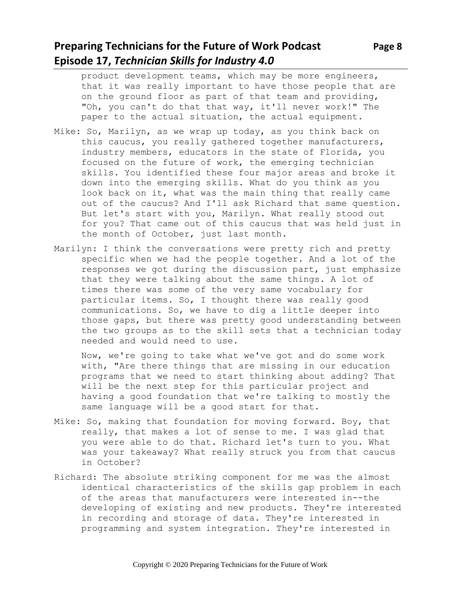### **Preparing Technicians for the Future of Work Podcast** Page 8 **Episode 17,** *Technician Skills for Industry 4.0*

product development teams, which may be more engineers, that it was really important to have those people that are on the ground floor as part of that team and providing, "Oh, you can't do that that way, it'll never work!" The paper to the actual situation, the actual equipment.

- Mike: So, Marilyn, as we wrap up today, as you think back on this caucus, you really gathered together manufacturers, industry members, educators in the state of Florida, you focused on the future of work, the emerging technician skills. You identified these four major areas and broke it down into the emerging skills. What do you think as you look back on it, what was the main thing that really came out of the caucus? And I'll ask Richard that same question. But let's start with you, Marilyn. What really stood out for you? That came out of this caucus that was held just in the month of October, just last month.
- Marilyn: I think the conversations were pretty rich and pretty specific when we had the people together. And a lot of the responses we got during the discussion part, just emphasize that they were talking about the same things. A lot of times there was some of the very same vocabulary for particular items. So, I thought there was really good communications. So, we have to dig a little deeper into those gaps, but there was pretty good understanding between the two groups as to the skill sets that a technician today needed and would need to use.

Now, we're going to take what we've got and do some work with, "Are there things that are missing in our education programs that we need to start thinking about adding? That will be the next step for this particular project and having a good foundation that we're talking to mostly the same language will be a good start for that.

- Mike: So, making that foundation for moving forward. Boy, that really, that makes a lot of sense to me. I was glad that you were able to do that. Richard let's turn to you. What was your takeaway? What really struck you from that caucus in October?
- Richard: The absolute striking component for me was the almost identical characteristics of the skills gap problem in each of the areas that manufacturers were interested in--the developing of existing and new products. They're interested in recording and storage of data. They're interested in programming and system integration. They're interested in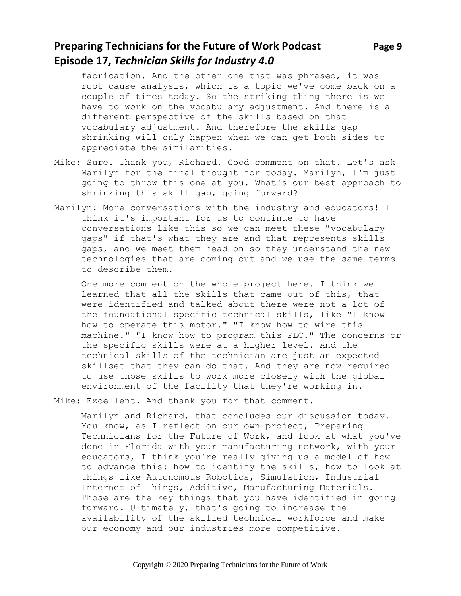# **Preparing Technicians for the Future of Work Podcast** Page 9 **Episode 17,** *Technician Skills for Industry 4.0*

- fabrication. And the other one that was phrased, it was root cause analysis, which is a topic we've come back on a couple of times today. So the striking thing there is we have to work on the vocabulary adjustment. And there is a different perspective of the skills based on that vocabulary adjustment. And therefore the skills gap shrinking will only happen when we can get both sides to appreciate the similarities.
- Mike: Sure. Thank you, Richard. Good comment on that. Let's ask Marilyn for the final thought for today. Marilyn, I'm just going to throw this one at you. What's our best approach to shrinking this skill gap, going forward?
- Marilyn: More conversations with the industry and educators! I think it's important for us to continue to have conversations like this so we can meet these "vocabulary gaps"—if that's what they are—and that represents skills gaps, and we meet them head on so they understand the new technologies that are coming out and we use the same terms to describe them.

One more comment on the whole project here. I think we learned that all the skills that came out of this, that were identified and talked about—there were not a lot of the foundational specific technical skills, like "I know how to operate this motor." "I know how to wire this machine." "I know how to program this PLC." The concerns or the specific skills were at a higher level. And the technical skills of the technician are just an expected skillset that they can do that. And they are now required to use those skills to work more closely with the global environment of the facility that they're working in.

Mike: Excellent. And thank you for that comment.

Marilyn and Richard, that concludes our discussion today. You know, as I reflect on our own project, Preparing Technicians for the Future of Work, and look at what you've done in Florida with your manufacturing network, with your educators, I think you're really giving us a model of how to advance this: how to identify the skills, how to look at things like Autonomous Robotics, Simulation, Industrial Internet of Things, Additive, Manufacturing Materials. Those are the key things that you have identified in going forward. Ultimately, that's going to increase the availability of the skilled technical workforce and make our economy and our industries more competitive.